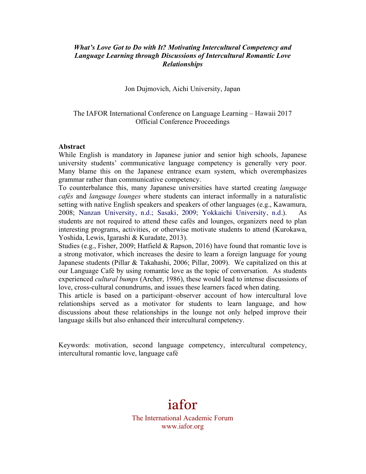## *What's Love Got to Do with It? Motivating Intercultural Competency and Language Learning through Discussions of Intercultural Romantic Love Relationships*

Jon Dujmovich, Aichi University, Japan

## The IAFOR International Conference on Language Learning – Hawaii 2017 Official Conference Proceedings

#### **Abstract**

While English is mandatory in Japanese junior and senior high schools, Japanese university students' communicative language competency is generally very poor. Many blame this on the Japanese entrance exam system, which overemphasizes grammar rather than communicative competency.

To counterbalance this, many Japanese universities have started creating *language cafés* and *language lounges* where students can interact informally in a naturalistic setting with native English speakers and speakers of other languages (e.g., Kawamura, 2008; Nanzan University, n.d.; Sasaki, 2009; Yokkaichi University, n.d.). As students are not required to attend these cafés and lounges, organizers need to plan interesting programs, activities, or otherwise motivate students to attend (Kurokawa, Yoshida, Lewis, Igarashi & Kuradate, 2013).

Studies (e.g., Fisher, 2009; Hatfield & Rapson, 2016) have found that romantic love is a strong motivator, which increases the desire to learn a foreign language for young Japanese students (Pillar & Takahashi, 2006; Pillar, 2009). We capitalized on this at our Language Café by using romantic love as the topic of conversation. As students experienced *cultural bumps* (Archer, 1986), these would lead to intense discussions of love, cross-cultural conundrums, and issues these learners faced when dating.

This article is based on a participant–observer account of how intercultural love relationships served as a motivator for students to learn language, and how discussions about these relationships in the lounge not only helped improve their language skills but also enhanced their intercultural competency.

Keywords: motivation, second language competency, intercultural competency, intercultural romantic love, language café

# iafor

The International Academic Forum www.iafor.org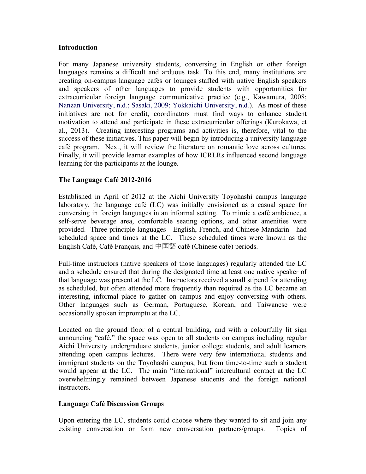## **Introduction**

For many Japanese university students, conversing in English or other foreign languages remains a difficult and arduous task. To this end, many institutions are creating on-campus language cafés or lounges staffed with native English speakers and speakers of other languages to provide students with opportunities for extracurricular foreign language communicative practice (e.g., Kawamura, 2008; Nanzan University, n.d.; Sasaki, 2009; Yokkaichi University, n.d.). As most of these initiatives are not for credit, coordinators must find ways to enhance student motivation to attend and participate in these extracurricular offerings (Kurokawa, et al., 2013). Creating interesting programs and activities is, therefore, vital to the success of these initiatives. This paper will begin by introducing a university language café program. Next, it will review the literature on romantic love across cultures. Finally, it will provide learner examples of how ICRLRs influenced second language learning for the participants at the lounge.

## **The Language Café 2012-2016**

Established in April of 2012 at the Aichi University Toyohashi campus language laboratory, the language café (LC) was initially envisioned as a casual space for conversing in foreign languages in an informal setting. To mimic a café ambience, a self-serve beverage area, comfortable seating options, and other amenities were provided. Three principle languages—English, French, and Chinese Mandarin—had scheduled space and times at the LC. These scheduled times were known as the English Café, Café Français, and 中国語 café (Chinese cafe) periods.

Full-time instructors (native speakers of those languages) regularly attended the LC and a schedule ensured that during the designated time at least one native speaker of that language was present at the LC. Instructors received a small stipend for attending as scheduled, but often attended more frequently than required as the LC became an interesting, informal place to gather on campus and enjoy conversing with others. Other languages such as German, Portuguese, Korean, and Taiwanese were occasionally spoken impromptu at the LC.

Located on the ground floor of a central building, and with a colourfully lit sign announcing "café," the space was open to all students on campus including regular Aichi University undergraduate students, junior college students, and adult learners attending open campus lectures. There were very few international students and immigrant students on the Toyohashi campus, but from time-to-time such a student would appear at the LC. The main "international" intercultural contact at the LC overwhelmingly remained between Japanese students and the foreign national **instructors** 

## **Language Café Discussion Groups**

Upon entering the LC, students could choose where they wanted to sit and join any existing conversation or form new conversation partners/groups. Topics of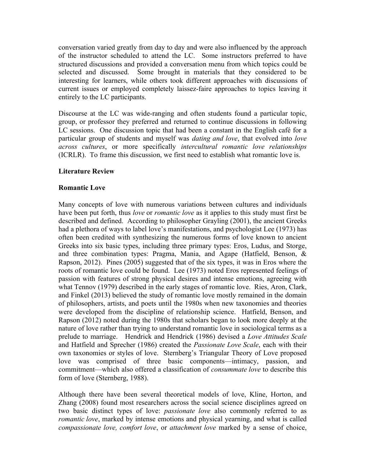conversation varied greatly from day to day and were also influenced by the approach of the instructor scheduled to attend the LC. Some instructors preferred to have structured discussions and provided a conversation menu from which topics could be selected and discussed. Some brought in materials that they considered to be interesting for learners, while others took different approaches with discussions of current issues or employed completely laissez-faire approaches to topics leaving it entirely to the LC participants.

Discourse at the LC was wide-ranging and often students found a particular topic, group, or professor they preferred and returned to continue discussions in following LC sessions. One discussion topic that had been a constant in the English café for a particular group of students and myself was *dating and love*, that evolved into *love across cultures*, or more specifically *intercultural romantic love relationships* (ICRLR). To frame this discussion, we first need to establish what romantic love is.

## **Literature Review**

## **Romantic Love**

Many concepts of love with numerous variations between cultures and individuals have been put forth, thus *love* or *romantic love* as it applies to this study must first be described and defined. According to philosopher Grayling (2001), the ancient Greeks had a plethora of ways to label love's manifestations, and psychologist Lee (1973) has often been credited with synthesizing the numerous forms of love known to ancient Greeks into six basic types, including three primary types: Eros, Ludus, and Storge, and three combination types: Pragma, Mania, and Agape (Hatfield, Benson, & Rapson, 2012). Pines (2005) suggested that of the six types, it was in Eros where the roots of romantic love could be found. Lee (1973) noted Eros represented feelings of passion with features of strong physical desires and intense emotions, agreeing with what Tennov (1979) described in the early stages of romantic love. Ries, Aron, Clark, and Finkel (2013) believed the study of romantic love mostly remained in the domain of philosophers, artists, and poets until the 1980s when new taxonomies and theories were developed from the discipline of relationship science. Hatfield, Benson, and Rapson (2012) noted during the 1980s that scholars began to look more deeply at the nature of love rather than trying to understand romantic love in sociological terms as a prelude to marriage. Hendrick and Hendrick (1986) devised a *Love Attitudes Scale* and Hatfield and Sprecher (1986) created the *Passionate Love Scale*, each with their own taxonomies or styles of love. Sternberg's Triangular Theory of Love proposed love was comprised of three basic components—intimacy, passion, and commitment—which also offered a classification of *consummate love* to describe this form of love (Sternberg, 1988).

Although there have been several theoretical models of love, Kline, Horton, and Zhang (2008) found most researchers across the social science disciplines agreed on two basic distinct types of love: *passionate love* also commonly referred to as *romantic love*, marked by intense emotions and physical yearning, and what is called *compassionate love, comfort love*, or *attachment love* marked by a sense of choice,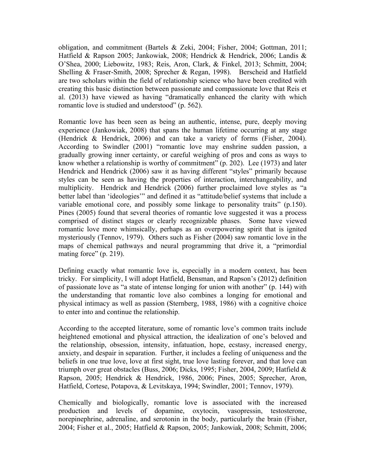obligation, and commitment (Bartels & Zeki, 2004; Fisher, 2004; Gottman, 2011; Hatfield & Rapson 2005; Jankowiak, 2008; Hendrick & Hendrick, 2006; Landis & O'Shea, 2000; Liebowitz, 1983; Reis, Aron, Clark, & Finkel, 2013; Schmitt, 2004; Shelling & Fraser-Smith, 2008; Sprecher & Regan, 1998). Berscheid and Hatfield are two scholars within the field of relationship science who have been credited with creating this basic distinction between passionate and compassionate love that Reis et al. (2013) have viewed as having "dramatically enhanced the clarity with which romantic love is studied and understood" (p. 562).

Romantic love has been seen as being an authentic, intense, pure, deeply moving experience (Jankowiak, 2008) that spans the human lifetime occurring at any stage (Hendrick & Hendrick, 2006) and can take a variety of forms (Fisher, 2004). According to Swindler (2001) "romantic love may enshrine sudden passion, a gradually growing inner certainty, or careful weighing of pros and cons as ways to know whether a relationship is worthy of commitment" (p. 202). Lee (1973) and later Hendrick and Hendrick (2006) saw it as having different "styles" primarily because styles can be seen as having the properties of interaction, interchangeability, and multiplicity. Hendrick and Hendrick (2006) further proclaimed love styles as "a better label than 'ideologies'" and defined it as "attitude/belief systems that include a variable emotional core, and possibly some linkage to personality traits" (p.150). Pines (2005) found that several theories of romantic love suggested it was a process comprised of distinct stages or clearly recognizable phases. Some have viewed romantic love more whimsically, perhaps as an overpowering spirit that is ignited mysteriously (Tennov, 1979). Others such as Fisher (2004) saw romantic love in the maps of chemical pathways and neural programming that drive it, a "primordial mating force" (p. 219).

Defining exactly what romantic love is, especially in a modern context, has been tricky. For simplicity, I will adopt Hatfield, Bensman, and Rapson's (2012) definition of passionate love as "a state of intense longing for union with another" (p. 144) with the understanding that romantic love also combines a longing for emotional and physical intimacy as well as passion (Sternberg, 1988, 1986) with a cognitive choice to enter into and continue the relationship.

According to the accepted literature, some of romantic love's common traits include heightened emotional and physical attraction, the idealization of one's beloved and the relationship, obsession, intensity, infatuation, hope, ecstasy, increased energy, anxiety, and despair in separation. Further, it includes a feeling of uniqueness and the beliefs in one true love, love at first sight, true love lasting forever, and that love can triumph over great obstacles (Buss, 2006; Dicks, 1995; Fisher, 2004, 2009; Hatfield & Rapson, 2005; Hendrick & Hendrick, 1986, 2006; Pines, 2005; Sprecher, Aron, Hatfield, Cortese, Potapova, & Levitskaya, 1994; Swindler, 2001; Tennov, 1979).

Chemically and biologically, romantic love is associated with the increased production and levels of dopamine, oxytocin, vasopressin, testosterone, norepinephrine, adrenaline, and serotonin in the body, particularly the brain (Fisher, 2004; Fisher et al., 2005; Hatfield & Rapson, 2005; Jankowiak, 2008; Schmitt, 2006;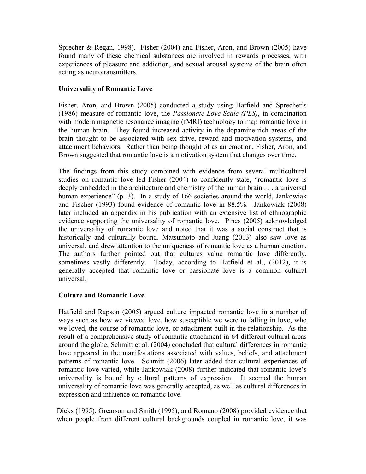Sprecher & Regan, 1998). Fisher (2004) and Fisher, Aron, and Brown (2005) have found many of these chemical substances are involved in rewards processes, with experiences of pleasure and addiction, and sexual arousal systems of the brain often acting as neurotransmitters.

## **Universality of Romantic Love**

Fisher, Aron, and Brown (2005) conducted a study using Hatfield and Sprecher's (1986) measure of romantic love, the *Passionate Love Scale (PLS)*, in combination with modern magnetic resonance imaging (fMRI) technology to map romantic love in the human brain. They found increased activity in the dopamine-rich areas of the brain thought to be associated with sex drive, reward and motivation systems, and attachment behaviors. Rather than being thought of as an emotion, Fisher, Aron, and Brown suggested that romantic love is a motivation system that changes over time.

The findings from this study combined with evidence from several multicultural studies on romantic love led Fisher (2004) to confidently state, "romantic love is deeply embedded in the architecture and chemistry of the human brain . . . a universal human experience" (p. 3). In a study of 166 societies around the world, Jankowiak and Fischer (1993) found evidence of romantic love in 88.5%. Jankowiak (2008) later included an appendix in his publication with an extensive list of ethnographic evidence supporting the universality of romantic love. Pines (2005) acknowledged the universality of romantic love and noted that it was a social construct that is historically and culturally bound. Matsumoto and Juang (2013) also saw love as universal, and drew attention to the uniqueness of romantic love as a human emotion. The authors further pointed out that cultures value romantic love differently, sometimes vastly differently. Today, according to Hatfield et al., (2012), it is generally accepted that romantic love or passionate love is a common cultural universal.

## **Culture and Romantic Love**

Hatfield and Rapson (2005) argued culture impacted romantic love in a number of ways such as how we viewed love, how susceptible we were to falling in love, who we loved, the course of romantic love, or attachment built in the relationship. As the result of a comprehensive study of romantic attachment in 64 different cultural areas around the globe, Schmitt et al. (2004) concluded that cultural differences in romantic love appeared in the manifestations associated with values, beliefs, and attachment patterns of romantic love. Schmitt (2006) later added that cultural experiences of romantic love varied, while Jankowiak (2008) further indicated that romantic love's universality is bound by cultural patterns of expression. It seemed the human universality of romantic love was generally accepted, as well as cultural differences in expression and influence on romantic love.

Dicks (1995), Grearson and Smith (1995), and Romano (2008) provided evidence that when people from different cultural backgrounds coupled in romantic love, it was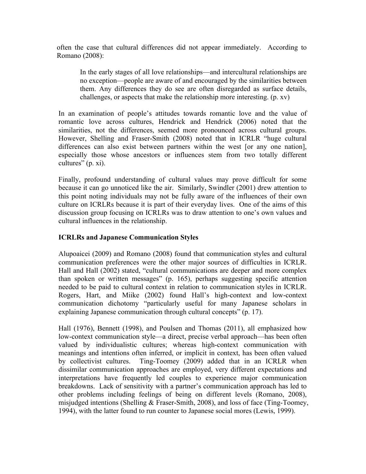often the case that cultural differences did not appear immediately. According to Romano (2008):

In the early stages of all love relationships—and intercultural relationships are no exception—people are aware of and encouraged by the similarities between them. Any differences they do see are often disregarded as surface details, challenges, or aspects that make the relationship more interesting. (p. xv)

In an examination of people's attitudes towards romantic love and the value of romantic love across cultures, Hendrick and Hendrick (2006) noted that the similarities, not the differences, seemed more pronounced across cultural groups. However, Shelling and Fraser-Smith (2008) noted that in ICRLR "huge cultural differences can also exist between partners within the west [or any one nation], especially those whose ancestors or influences stem from two totally different cultures" (p. xi).

Finally, profound understanding of cultural values may prove difficult for some because it can go unnoticed like the air. Similarly, Swindler (2001) drew attention to this point noting individuals may not be fully aware of the influences of their own culture on ICRLRs because it is part of their everyday lives. One of the aims of this discussion group focusing on ICRLRs was to draw attention to one's own values and cultural influences in the relationship.

## **ICRLRs and Japanese Communication Styles**

Alupoaicei (2009) and Romano (2008) found that communication styles and cultural communication preferences were the other major sources of difficulties in ICRLR. Hall and Hall (2002) stated, "cultural communications are deeper and more complex than spoken or written messages" (p. 165), perhaps suggesting specific attention needed to be paid to cultural context in relation to communication styles in ICRLR. Rogers, Hart, and Miike (2002) found Hall's high-context and low-context communication dichotomy "particularly useful for many Japanese scholars in explaining Japanese communication through cultural concepts" (p. 17).

Hall (1976), Bennett (1998), and Poulsen and Thomas (2011), all emphasized how low-context communication style—a direct, precise verbal approach—has been often valued by individualistic cultures; whereas high-context communication with meanings and intentions often inferred, or implicit in context, has been often valued by collectivist cultures. Ting-Toomey (2009) added that in an ICRLR when dissimilar communication approaches are employed, very different expectations and interpretations have frequently led couples to experience major communication breakdowns. Lack of sensitivity with a partner's communication approach has led to other problems including feelings of being on different levels (Romano, 2008), misjudged intentions (Shelling & Fraser-Smith, 2008), and loss of face (Ting-Toomey, 1994), with the latter found to run counter to Japanese social mores (Lewis, 1999).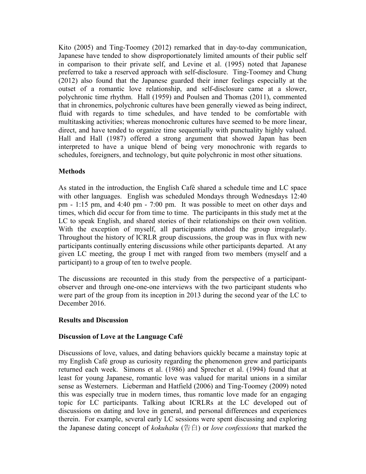Kito (2005) and Ting-Toomey (2012) remarked that in day-to-day communication, Japanese have tended to show disproportionately limited amounts of their public self in comparison to their private self, and Levine et al. (1995) noted that Japanese preferred to take a reserved approach with self-disclosure. Ting-Toomey and Chung (2012) also found that the Japanese guarded their inner feelings especially at the outset of a romantic love relationship, and self-disclosure came at a slower, polychronic time rhythm. Hall (1959) and Poulsen and Thomas (2011), commented that in chronemics, polychronic cultures have been generally viewed as being indirect, fluid with regards to time schedules, and have tended to be comfortable with multitasking activities; whereas monochronic cultures have seemed to be more linear, direct, and have tended to organize time sequentially with punctuality highly valued. Hall and Hall (1987) offered a strong argument that showed Japan has been interpreted to have a unique blend of being very monochronic with regards to schedules, foreigners, and technology, but quite polychronic in most other situations.

## **Methods**

As stated in the introduction, the English Café shared a schedule time and LC space with other languages. English was scheduled Mondays through Wednesdays 12:40 pm - 1:15 pm, and 4:40 pm - 7:00 pm. It was possible to meet on other days and times, which did occur for from time to time. The participants in this study met at the LC to speak English, and shared stories of their relationships on their own volition. With the exception of myself, all participants attended the group irregularly. Throughout the history of ICRLR group discussions, the group was in flux with new participants continually entering discussions while other participants departed. At any given LC meeting, the group I met with ranged from two members (myself and a participant) to a group of ten to twelve people.

The discussions are recounted in this study from the perspective of a participantobserver and through one-one-one interviews with the two participant students who were part of the group from its inception in 2013 during the second year of the LC to December 2016.

## **Results and Discussion**

## **Discussion of Love at the Language Café**

Discussions of love, values, and dating behaviors quickly became a mainstay topic at my English Café group as curiosity regarding the phenomenon grew and participants returned each week. Simons et al. (1986) and Sprecher et al. (1994) found that at least for young Japanese, romantic love was valued for marital unions in a similar sense as Westerners. Lieberman and Hatfield (2006) and Ting-Toomey (2009) noted this was especially true in modern times, thus romantic love made for an engaging topic for LC participants. Talking about ICRLRs at the LC developed out of discussions on dating and love in general, and personal differences and experiences therein. For example, several early LC sessions were spent discussing and exploring the Japanese dating concept of *kokuhaku* (告白) or *love confessions* that marked the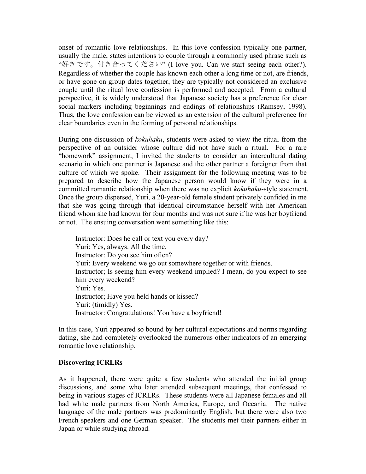onset of romantic love relationships. In this love confession typically one partner, usually the male, states intentions to couple through a commonly used phrase such as "好きです。付き合ってください" (I love you. Can we start seeing each other?). Regardless of whether the couple has known each other a long time or not, are friends, or have gone on group dates together, they are typically not considered an exclusive couple until the ritual love confession is performed and accepted. From a cultural perspective, it is widely understood that Japanese society has a preference for clear social markers including beginnings and endings of relationships (Ramsey, 1998). Thus, the love confession can be viewed as an extension of the cultural preference for clear boundaries even in the forming of personal relationships.

During one discussion of *kokuhaku*, students were asked to view the ritual from the perspective of an outsider whose culture did not have such a ritual. For a rare "homework" assignment, I invited the students to consider an intercultural dating scenario in which one partner is Japanese and the other partner a foreigner from that culture of which we spoke. Their assignment for the following meeting was to be prepared to describe how the Japanese person would know if they were in a committed romantic relationship when there was no explicit *kokuhaku*-style statement. Once the group dispersed, Yuri, a 20-year-old female student privately confided in me that she was going through that identical circumstance herself with her American friend whom she had known for four months and was not sure if he was her boyfriend or not. The ensuing conversation went something like this:

Instructor: Does he call or text you every day? Yuri: Yes, always. All the time. Instructor: Do you see him often? Yuri: Every weekend we go out somewhere together or with friends. Instructor; Is seeing him every weekend implied? I mean, do you expect to see him every weekend? Yuri: Yes. Instructor; Have you held hands or kissed? Yuri: (timidly) Yes. Instructor: Congratulations! You have a boyfriend!

In this case, Yuri appeared so bound by her cultural expectations and norms regarding dating, she had completely overlooked the numerous other indicators of an emerging romantic love relationship.

#### **Discovering ICRLRs**

As it happened, there were quite a few students who attended the initial group discussions, and some who later attended subsequent meetings, that confessed to being in various stages of ICRLRs. These students were all Japanese females and all had white male partners from North America, Europe, and Oceania. The native language of the male partners was predominantly English, but there were also two French speakers and one German speaker. The students met their partners either in Japan or while studying abroad.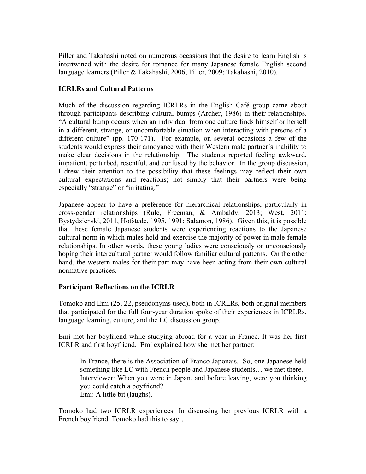Piller and Takahashi noted on numerous occasions that the desire to learn English is intertwined with the desire for romance for many Japanese female English second language learners (Piller & Takahashi, 2006; Piller, 2009; Takahashi, 2010).

# **ICRLRs and Cultural Patterns**

Much of the discussion regarding ICRLRs in the English Café group came about through participants describing cultural bumps (Archer, 1986) in their relationships. "A cultural bump occurs when an individual from one culture finds himself or herself in a different, strange, or uncomfortable situation when interacting with persons of a different culture" (pp. 170-171). For example, on several occasions a few of the students would express their annoyance with their Western male partner's inability to make clear decisions in the relationship. The students reported feeling awkward, impatient, perturbed, resentful, and confused by the behavior. In the group discussion, I drew their attention to the possibility that these feelings may reflect their own cultural expectations and reactions; not simply that their partners were being especially "strange" or "irritating."

Japanese appear to have a preference for hierarchical relationships, particularly in cross-gender relationships (Rule, Freeman, & Ambaldy, 2013; West, 2011; Bystydzienski, 2011, Hofstede, 1995, 1991; Salamon, 1986). Given this, it is possible that these female Japanese students were experiencing reactions to the Japanese cultural norm in which males hold and exercise the majority of power in male-female relationships. In other words, these young ladies were consciously or unconsciously hoping their intercultural partner would follow familiar cultural patterns. On the other hand, the western males for their part may have been acting from their own cultural normative practices.

## **Participant Reflections on the ICRLR**

Tomoko and Emi (25, 22, pseudonyms used), both in ICRLRs, both original members that participated for the full four-year duration spoke of their experiences in ICRLRs, language learning, culture, and the LC discussion group.

Emi met her boyfriend while studying abroad for a year in France. It was her first ICRLR and first boyfriend. Emi explained how she met her partner:

In France, there is the Association of Franco-Japonais. So, one Japanese held something like LC with French people and Japanese students… we met there. Interviewer: When you were in Japan, and before leaving, were you thinking you could catch a boyfriend? Emi: A little bit (laughs).

Tomoko had two ICRLR experiences. In discussing her previous ICRLR with a French boyfriend, Tomoko had this to say…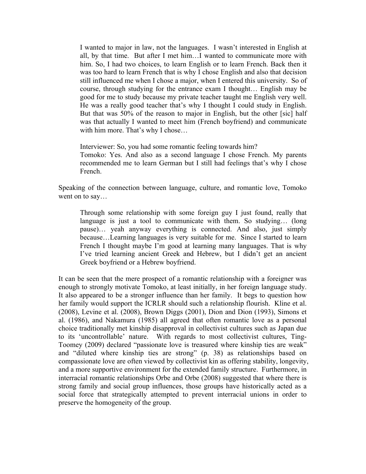I wanted to major in law, not the languages. I wasn't interested in English at all, by that time. But after I met him…I wanted to communicate more with him. So, I had two choices, to learn English or to learn French. Back then it was too hard to learn French that is why I chose English and also that decision still influenced me when I chose a major, when I entered this university. So of course, through studying for the entrance exam I thought… English may be good for me to study because my private teacher taught me English very well. He was a really good teacher that's why I thought I could study in English. But that was 50% of the reason to major in English, but the other [sic] half was that actually I wanted to meet him (French boyfriend) and communicate with him more. That's why I chose…

Interviewer: So, you had some romantic feeling towards him? Tomoko: Yes. And also as a second language I chose French. My parents recommended me to learn German but I still had feelings that's why I chose French.

Speaking of the connection between language, culture, and romantic love, Tomoko went on to say...

Through some relationship with some foreign guy I just found, really that language is just a tool to communicate with them. So studying... (long pause)… yeah anyway everything is connected. And also, just simply because…Learning languages is very suitable for me. Since I started to learn French I thought maybe I'm good at learning many languages. That is why I've tried learning ancient Greek and Hebrew, but I didn't get an ancient Greek boyfriend or a Hebrew boyfriend.

It can be seen that the mere prospect of a romantic relationship with a foreigner was enough to strongly motivate Tomoko, at least initially, in her foreign language study. It also appeared to be a stronger influence than her family. It begs to question how her family would support the ICRLR should such a relationship flourish. Kline et al. (2008), Levine et al. (2008), Brown Diggs (2001), Dion and Dion (1993), Simons et al. (1986), and Nakamura (1985) all agreed that often romantic love as a personal choice traditionally met kinship disapproval in collectivist cultures such as Japan due to its 'uncontrollable' nature. With regards to most collectivist cultures, Ting-Toomey (2009) declared "passionate love is treasured where kinship ties are weak" and "diluted where kinship ties are strong" (p. 38) as relationships based on compassionate love are often viewed by collectivist kin as offering stability, longevity, and a more supportive environment for the extended family structure. Furthermore, in interracial romantic relationships Orbe and Orbe (2008) suggested that where there is strong family and social group influences, those groups have historically acted as a social force that strategically attempted to prevent interracial unions in order to preserve the homogeneity of the group.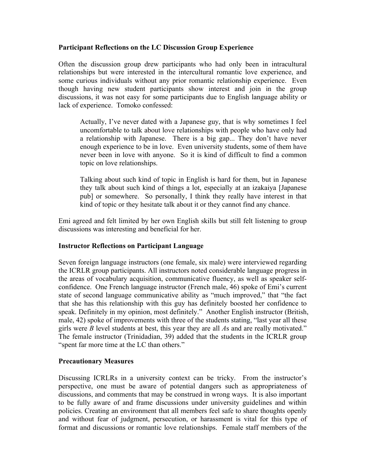## **Participant Reflections on the LC Discussion Group Experience**

Often the discussion group drew participants who had only been in intracultural relationships but were interested in the intercultural romantic love experience, and some curious individuals without any prior romantic relationship experience. Even though having new student participants show interest and join in the group discussions, it was not easy for some participants due to English language ability or lack of experience. Tomoko confessed:

Actually, I've never dated with a Japanese guy, that is why sometimes I feel uncomfortable to talk about love relationships with people who have only had a relationship with Japanese. There is a big gap... They don't have never enough experience to be in love. Even university students, some of them have never been in love with anyone. So it is kind of difficult to find a common topic on love relationships.

Talking about such kind of topic in English is hard for them, but in Japanese they talk about such kind of things a lot, especially at an izakaiya [Japanese pub] or somewhere. So personally, I think they really have interest in that kind of topic or they hesitate talk about it or they cannot find any chance.

Emi agreed and felt limited by her own English skills but still felt listening to group discussions was interesting and beneficial for her.

## **Instructor Reflections on Participant Language**

Seven foreign language instructors (one female, six male) were interviewed regarding the ICRLR group participants. All instructors noted considerable language progress in the areas of vocabulary acquisition, communicative fluency, as well as speaker selfconfidence. One French language instructor (French male, 46) spoke of Emi's current state of second language communicative ability as "much improved," that "the fact that she has this relationship with this guy has definitely boosted her confidence to speak. Definitely in my opinion, most definitely." Another English instructor (British, male, 42) spoke of improvements with three of the students stating, "last year all these girls were *B* level students at best, this year they are all *A*s and are really motivated." The female instructor (Trinidadian, 39) added that the students in the ICRLR group "spent far more time at the LC than others."

## **Precautionary Measures**

Discussing ICRLRs in a university context can be tricky. From the instructor's perspective, one must be aware of potential dangers such as appropriateness of discussions, and comments that may be construed in wrong ways. It is also important to be fully aware of and frame discussions under university guidelines and within policies. Creating an environment that all members feel safe to share thoughts openly and without fear of judgment, persecution, or harassment is vital for this type of format and discussions or romantic love relationships. Female staff members of the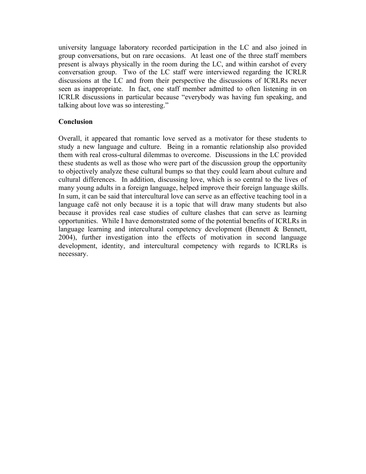university language laboratory recorded participation in the LC and also joined in group conversations, but on rare occasions. At least one of the three staff members present is always physically in the room during the LC, and within earshot of every conversation group. Two of the LC staff were interviewed regarding the ICRLR discussions at the LC and from their perspective the discussions of ICRLRs never seen as inappropriate. In fact, one staff member admitted to often listening in on ICRLR discussions in particular because "everybody was having fun speaking, and talking about love was so interesting."

## **Conclusion**

Overall, it appeared that romantic love served as a motivator for these students to study a new language and culture. Being in a romantic relationship also provided them with real cross-cultural dilemmas to overcome. Discussions in the LC provided these students as well as those who were part of the discussion group the opportunity to objectively analyze these cultural bumps so that they could learn about culture and cultural differences. In addition, discussing love, which is so central to the lives of many young adults in a foreign language, helped improve their foreign language skills. In sum, it can be said that intercultural love can serve as an effective teaching tool in a language café not only because it is a topic that will draw many students but also because it provides real case studies of culture clashes that can serve as learning opportunities. While I have demonstrated some of the potential benefits of ICRLRs in language learning and intercultural competency development (Bennett  $\&$  Bennett, 2004), further investigation into the effects of motivation in second language development, identity, and intercultural competency with regards to ICRLRs is necessary.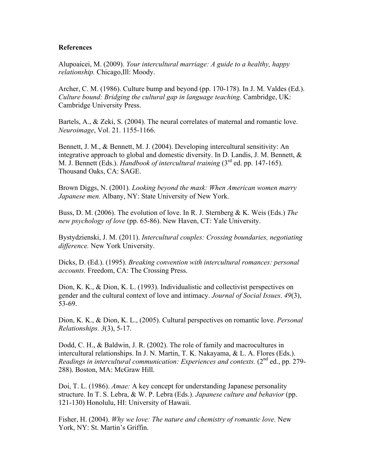#### **References**

Alupoaicei, M. (2009). *Your intercultural marriage: A guide to a healthy, happy relationship.* Chicago,Ill: Moody.

Archer, C. M. (1986). Culture bump and beyond (pp. 170-178). In J. M. Valdes (Ed.). *Culture bound: Bridging the cultural gap in language teaching.* Cambridge, UK: Cambridge University Press.

Bartels, A., & Zeki, S. (2004). The neural correlates of maternal and romantic love. *Neuroimage*, Vol. 21. 1155-1166.

Bennett, J. M., & Bennett, M. J. (2004). Developing intercultural sensitivity: An integrative approach to global and domestic diversity. In D. Landis, J. M. Bennett, & M. J. Bennett (Eds.). *Handbook of intercultural training* (3rd ed. pp. 147-165). Thousand Oaks, CA: SAGE.

Brown Diggs, N. (2001)*. Looking beyond the mask: When American women marry Japanese men.* Albany, NY: State University of New York.

Buss, D. M. (2006). The evolution of love. In R. J. Sternberg & K. Weis (Eds.) *The new psychology of love* (pp. 65-86). New Haven, CT: Yale University.

Bystydzienski, J. M. (2011). *Intercultural couples: Crossing boundaries, negotiating difference.* New York University.

Dicks, D. (Ed.). (1995). *Breaking convention with intercultural romances: personal accounts.* Freedom, CA: The Crossing Press.

Dion, K. K., & Dion, K. L. (1993). Individualistic and collectivist perspectives on gender and the cultural context of love and intimacy. *Journal of Social Issues*. *49*(3), 53-69.

Dion, K. K., & Dion, K. L., (2005). Cultural perspectives on romantic love. *Personal Relationships. 3*(3), 5-17.

Dodd, C. H., & Baldwin, J. R. (2002). The role of family and macrocultures in intercultural relationships. In J. N. Martin, T. K. Nakayama, & L. A. Flores (Eds.). *Readings in intercultural communication: Experiences and contexts.* (2<sup>nd</sup> ed., pp. 279-288). Boston, MA: McGraw Hill.

Doi, T. L. (1986). *Amae:* A key concept for understanding Japanese personality structure. In T. S. Lebra, & W. P. Lebra (Eds.). *Japanese culture and behavior* (pp. 121-130) Honolulu, HI: University of Hawaii.

Fisher, H. (2004). *Why we love: The nature and chemistry of romantic love.* New York, NY: St. Martin's Griffin.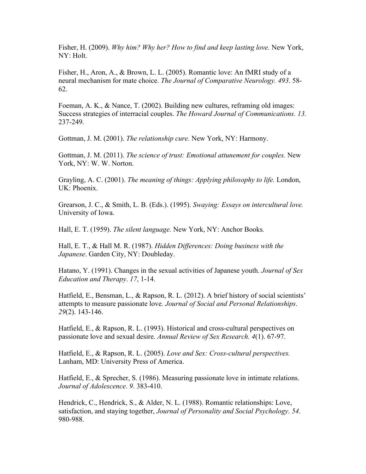Fisher, H. (2009). *Why him? Why her? How to find and keep lasting love.* New York, NY: Holt.

Fisher, H., Aron, A., & Brown, L. L. (2005). Romantic love: An fMRI study of a neural mechanism for mate choice. *The Journal of Comparative Neurology. 493*. 58- 62.

Foeman, A. K., & Nance, T. (2002). Building new cultures, reframing old images: Success strategies of interracial couples. *The Howard Journal of Communications. 13.* 237-249.

Gottman, J. M. (2001). *The relationship cure.* New York, NY: Harmony.

Gottman, J. M. (2011). *The science of trust: Emotional attunement for couples.* New York, NY: W. W. Norton.

Grayling, A. C. (2001). *The meaning of things: Applying philosophy to life.* London, UK: Phoenix.

Grearson, J. C., & Smith, L. B. (Eds.). (1995). *Swaying: Essays on intercultural love.*  University of Iowa.

Hall, E. T. (1959). *The silent language.* New York, NY: Anchor Books*.*

Hall, E. T., & Hall M. R. (1987). *Hidden Differences: Doing business with the Japanese*. Garden City, NY: Doubleday.

Hatano, Y. (1991). Changes in the sexual activities of Japanese youth. *Journal of Sex Education and Therapy*. *17*, 1-14.

Hatfield, E., Bensman, L., & Rapson, R. L. (2012). A brief history of social scientists' attempts to measure passionate love. *Journal of Social and Personal Relationships*. *29*(2). 143-146.

Hatfield, E., & Rapson, R. L. (1993). Historical and cross-cultural perspectives on passionate love and sexual desire. *Annual Review of Sex Research. 4*(1). 67-97.

Hatfield, E., & Rapson, R. L. (2005). *Love and Sex: Cross-cultural perspectives.* Lanham, MD: University Press of America.

Hatfield, E., & Sprecher, S. (1986). Measuring passionate love in intimate relations. *Journal of Adolescence*. *9*. 383-410.

Hendrick, C., Hendrick, S., & Alder, N. L. (1988). Romantic relationships: Love, satisfaction, and staying together, *Journal of Personality and Social Psychology*. *54*. 980-988.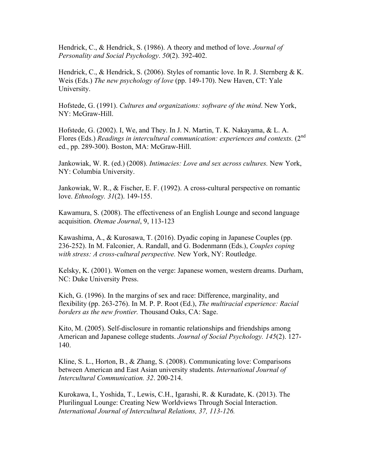Hendrick, C., & Hendrick, S. (1986). A theory and method of love. *Journal of Personality and Social Psychology*. *50*(2). 392-402.

Hendrick, C., & Hendrick, S. (2006). Styles of romantic love. In R. J. Sternberg & K. Weis (Eds.) *The new psychology of love* (pp. 149-170). New Haven, CT: Yale University.

Hofstede, G. (1991). *Cultures and organizations: software of the mind*. New York, NY: McGraw-Hill.

Hofstede, G. (2002). I, We, and They. In J. N. Martin, T. K. Nakayama, & L. A. Flores (Eds.) *Readings in intercultural communication: experiences and contexts.* (2<sup>nd</sup> ed., pp. 289-300). Boston, MA: McGraw-Hill.

Jankowiak, W. R. (ed.) (2008). *Intimacies: Love and sex across cultures.* New York, NY: Columbia University.

Jankowiak, W. R., & Fischer, E. F. (1992). A cross-cultural perspective on romantic love. *Ethnology. 31*(2). 149-155.

Kawamura, S. (2008). The effectiveness of an English Lounge and second language acquisition. *Otemae Journal*, 9, 113-123

Kawashima, A., & Kurosawa, T. (2016). Dyadic coping in Japanese Couples (pp. 236-252). In M. Falconier, A. Randall, and G. Bodenmann (Eds.), *Couples coping*  with stress: A cross-cultural perspective. New York, NY: Routledge.

Kelsky, K. (2001). Women on the verge: Japanese women, western dreams. Durham, NC: Duke University Press.

Kich, G. (1996). In the margins of sex and race: Difference, marginality, and flexibility (pp. 263-276). In M. P. P. Root (Ed.), *The multiracial experience: Racial borders as the new frontier.* Thousand Oaks, CA: Sage.

Kito, M. (2005). Self-disclosure in romantic relationships and friendships among American and Japanese college students. *Journal of Social Psychology. 145*(2). 127- 140.

Kline, S. L., Horton, B., & Zhang, S. (2008). Communicating love: Comparisons between American and East Asian university students. *International Journal of Intercultural Communication. 32*. 200-214.

Kurokawa, I., Yoshida, T., Lewis, C.H., Igarashi, R. & Kuradate, K. (2013). The Plurilingual Lounge: Creating New Worldviews Through Social Interaction. *International Journal of Intercultural Relations, 37, 113-126.*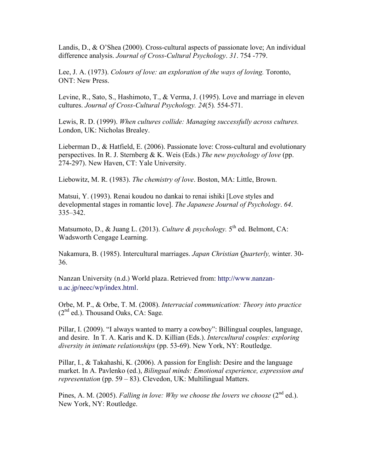Landis, D., & O'Shea (2000). Cross-cultural aspects of passionate love; An individual difference analysis. *Journal of Cross-Cultural Psychology*. *31*. 754 -779.

Lee, J. A. (1973). *Colours of love: an exploration of the ways of loving.* Toronto, ONT: New Press.

Levine, R., Sato, S., Hashimoto, T., & Verma, J. (1995). Love and marriage in eleven cultures. *Journal of Cross-Cultural Psychology. 24*(5)*.* 554-571.

Lewis, R. D. (1999). *When cultures collide: Managing successfully across cultures.*  London, UK: Nicholas Brealey.

Lieberman D., & Hatfield, E. (2006). Passionate love: Cross-cultural and evolutionary perspectives. In R. J. Sternberg & K. Weis (Eds.) *The new psychology of love* (pp. 274-297). New Haven, CT: Yale University.

Liebowitz, M. R. (1983). *The chemistry of love*. Boston, MA: Little, Brown.

Matsui, Y. (1993). Renai koudou no dankai to renai ishiki [Love styles and developmental stages in romantic love]. *The Japanese Journal of Psychology*. *64*. 335–342.

Matsumoto, D., & Juang L. (2013). *Culture & psychology*. 5<sup>th</sup> ed. Belmont, CA: Wadsworth Cengage Learning.

Nakamura, B. (1985). Intercultural marriages. *Japan Christian Quarterly,* winter. 30- 36.

Nanzan University (n.d.) World plaza. Retrieved from: http://www.nanzanu.ac.jp/neec/wp/index.html.

Orbe, M. P., & Orbe, T. M. (2008). *Interracial communication: Theory into practice* (2nd ed.). Thousand Oaks, CA: Sage*.*

Pillar, I. (2009). "I always wanted to marry a cowboy": Billingual couples, language, and desire. In T. A. Karis and K. D. Killian (Eds.). *Intercultural couples: exploring diversity in intimate relationships* (pp. 53-69). New York, NY: Routledge.

Pillar, I., & Takahashi, K. (2006). A passion for English: Desire and the language market. In A. Pavlenko (ed.), *Bilingual minds: Emotional experience, expression and representation* (pp. 59 – 83). Clevedon, UK: Multilingual Matters.

Pines, A. M. (2005). *Falling in love: Why we choose the lovers we choose* (2<sup>nd</sup> ed.). New York, NY: Routledge.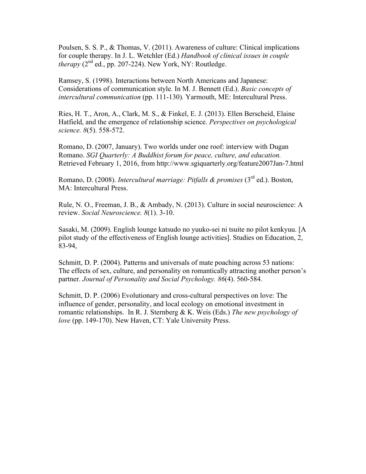Poulsen, S. S. P., & Thomas, V. (2011). Awareness of culture: Clinical implications for couple therapy. In J. L. Wetchler (Ed.) *Handbook of clinical issues in couple (* $2<sup>nd</sup>$  *ed., pp. 207-224). New York, NY: Routledge.* 

Ramsey, S. (1998). Interactions between North Americans and Japanese: Considerations of communication style. In M. J. Bennett (Ed.). *Basic concepts of intercultural communication* (pp. 111-130)*.* Yarmouth, ME: Intercultural Press.

Ries, H. T., Aron, A., Clark, M. S., & Finkel, E. J. (2013). Ellen Berscheid, Elaine Hatfield, and the emergence of relationship science. *Perspectives on psychological science. 8*(5). 558-572.

Romano, D. (2007, January). Two worlds under one roof: interview with Dugan Romano. *SGI Quarterly: A Buddhist forum for peace, culture, and education.*  Retrieved February 1, 2016, from http://www.sgiquarterly.org/feature2007Jan-7.html

Romano, D. (2008). *Intercultural marriage: Pitfalls & promises* (3rd ed.). Boston, MA: Intercultural Press.

Rule, N. O., Freeman, J. B., & Ambady, N. (2013). Culture in social neuroscience: A review. *Social Neuroscience. 8*(1). 3-10.

Sasaki, M. (2009). English lounge katsudo no yuuko-sei ni tsuite no pilot kenkyuu. [A pilot study of the effectiveness of English lounge activities]. Studies on Education, 2, 83-94,

Schmitt, D. P. (2004). Patterns and universals of mate poaching across 53 nations: The effects of sex, culture, and personality on romantically attracting another person's partner. *Journal of Personality and Social Psychology. 86*(4). 560-584.

Schmitt, D. P. (2006) Evolutionary and cross-cultural perspectives on love: The influence of gender, personality, and local ecology on emotional investment in romantic relationships. In R. J. Sternberg & K. Weis (Eds.) *The new psychology of love* (pp. 149-170). New Haven, CT: Yale University Press.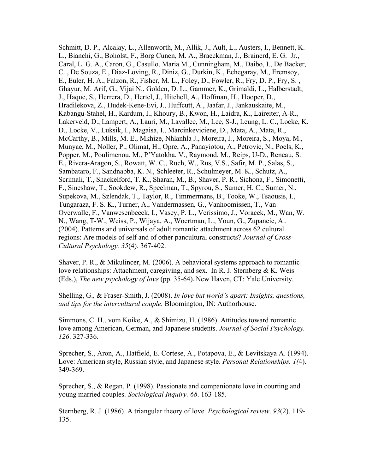Schmitt, D. P., Alcalay, L., Allenworth, M., Allik, J., Ault, L., Austers, I., Bennett, K. L., Bianchi, G., Boholst, F., Borg Cunen, M. A., Braeckman, J., Brainerd, E. G. Jr., Caral, L. G. A., Caron, G., Casullo, Maria M., Cunningham, M., Daibo, I., De Backer, C. , De Souza, E., Diaz-Loving, R., Diniz, G., Durkin, K., Echegaray, M., Eremsoy, E., Euler, H. A., Falzon, R., Fisher, M. L., Foley, D., Fowler, R., Fry, D. P., Fry, S. , Ghayur, M. Arif, G., Vijai N., Golden, D. L., Gammer, K., Grimaldi, L., Halberstadt, J., Haque, S., Herrera, D., Hertel, J., Hitchell, A., Hoffman, H., Hooper, D., Hradilekova, Z., Hudek-Kene-Evi, J., Huffcutt, A., Jaafar, J., Jankauskaite, M., Kabangu-Stahel, H., Kardum, I., Khoury, B., Kwon, H., Laidra, K., Laireiter, A-R., Lakerveld, D., Lampert, A., Lauri, M., Lavallee, M., Lee, S-J., Leung, L. C., Locke, K. D., Locke, V., Luksik, I., Magaisa, I., Marcinkeviciene, D., Mata, A., Mata, R., McCarthy, B., Mills, M. E., Mkhize, Nhlanhla J., Moreira, J., Moreira, S., Moya, M., Munyae, M., Noller, P., Olimat, H., Opre, A., Panayiotou, A., Petrovic, N., Poels, K., Popper, M., Poulimenou, M., P'Yatokha, V., Raymond, M., Reips, U-D., Reneau, S. E., Rivera-Aragon, S., Rowatt, W. C., Ruch, W., Rus, V.S., Safir, M. P., Salas, S., Sambataro, F., Sandnabba, K. N., Schleeter, R., Schulmeyer, M. K., Schutz, A., Scrimali, T., Shackelford, T. K., Sharan, M., B., Shaver, P. R., Sichona, F., Simonetti, F., Sineshaw, T., Sookdew, R., Speelman, T., Spyrou, S., Sumer, H. C., Sumer, N., Supekova, M., Szlendak, T., Taylor, R., Timmermans, B., Tooke, W., Tsaousis, I., Tungaraza, F. S. K., Turner, A., Vandermassen, G., Vanhoomissen, T., Van Overwalle, F., Vanwesenbeeck, I., Vasey, P. L., Verissimo, J., Voracek, M., Wan, W. N., Wang, T-W., Weiss, P., Wijaya, A., Woertman, L., Youn, G., Zupaneie, A.. (2004). Patterns and universals of adult romantic attachment across 62 cultural regions: Are models of self and of other pancultural constructs? *Journal of Cross-Cultural Psychology. 35*(4). 367-402.

Shaver, P. R., & Mikulincer, M. (2006). A behavioral systems approach to romantic love relationships: Attachment, caregiving, and sex. In R. J. Sternberg & K. Weis (Eds.), *The new psychology of love* (pp. 35*-*64). New Haven, CT: Yale University*.*

Shelling, G., & Fraser-Smith, J. (2008). *In love but world's apart: Insights, questions, and tips for the intercultural couple.* Bloomington, IN: Authorhouse.

Simmons, C. H., vom Koike, A., & Shimizu, H. (1986). Attitudes toward romantic love among American, German, and Japanese students. *Journal of Social Psychology. 126*. 327-336.

Sprecher, S., Aron, A., Hatfield, E. Cortese, A., Potapova, E., & Levitskaya A. (1994). Love: American style, Russian style, and Japanese style. *Personal Relationships. 1(*4). 349-369.

Sprecher, S., & Regan, P. (1998). Passionate and companionate love in courting and young married couples. *Sociological Inquiry. 68*. 163-185.

Sternberg, R. J. (1986). A triangular theory of love. *Psychological review*. *93*(2). 119- 135.